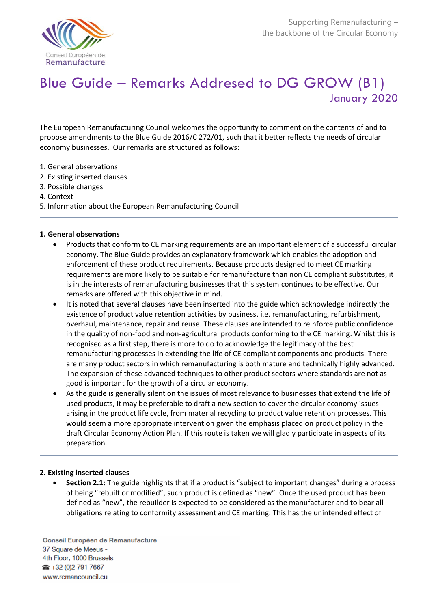

# Blue Guide – Remarks Addresed to DG GROW (B1) January 2020

The European Remanufacturing Council welcomes the opportunity to comment on the contents of and to propose amendments to the Blue Guide 2016/C 272/01, such that it better reflects the needs of circular economy businesses. Our remarks are structured as follows:

- 1. General observations
- 2. Existing inserted clauses
- 3. Possible changes
- 4. Context
- 5. Information about the European Remanufacturing Council

## **1. General observations**

- Products that conform to CE marking requirements are an important element of a successful circular economy. The Blue Guide provides an explanatory framework which enables the adoption and enforcement of these product requirements. Because products designed to meet CE marking requirements are more likely to be suitable for remanufacture than non CE compliant substitutes, it is in the interests of remanufacturing businesses that this system continues to be effective. Our remarks are offered with this objective in mind.
- It is noted that several clauses have been inserted into the guide which acknowledge indirectly the existence of product value retention activities by business, i.e. remanufacturing, refurbishment, overhaul, maintenance, repair and reuse. These clauses are intended to reinforce public confidence in the quality of non-food and non-agricultural products conforming to the CE marking. Whilst this is recognised as a first step, there is more to do to acknowledge the legitimacy of the best remanufacturing processes in extending the life of CE compliant components and products. There are many product sectors in which remanufacturing is both mature and technically highly advanced. The expansion of these advanced techniques to other product sectors where standards are not as good is important for the growth of a circular economy.
- As the guide is generally silent on the issues of most relevance to businesses that extend the life of used products, it may be preferable to draft a new section to cover the circular economy issues arising in the product life cycle, from material recycling to product value retention processes. This would seem a more appropriate intervention given the emphasis placed on product policy in the draft Circular Economy Action Plan. If this route is taken we will gladly participate in aspects of its preparation.

## **2. Existing inserted clauses**

• **Section 2.1:** The guide highlights that if a product is "subject to important changes" during a process of being "rebuilt or modified", such product is defined as "new". Once the used product has been defined as "new", the rebuilder is expected to be considered as the manufacturer and to bear all obligations relating to conformity assessment and CE marking. This has the unintended effect of

Conseil Européen de Remanufacture 37 Square de Meeus -4th Floor, 1000 Brussels ● +32 (0)2 791 7667 www.remancouncil.eu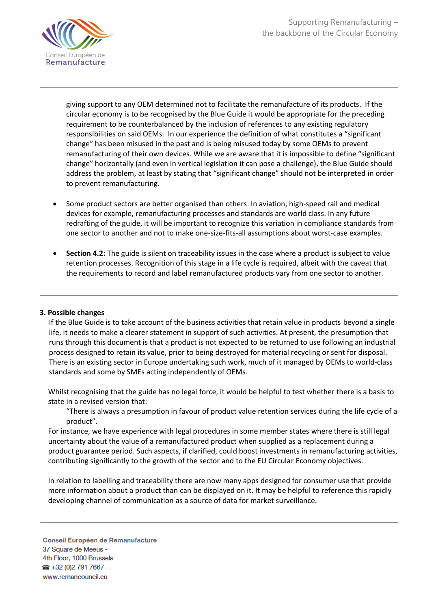

giving support to any OEM determined not to facilitate the remanufacture of its products. If the circular economy is to be recognised by the Blue Guide it would be appropriate for the preceding requirement to be counterbalanced by the inclusion of references to any existing regulatory responsibilities on said OEMs. In our experience the definition of what constitutes a "significant change" has been misused in the past and is being misused today by some OEMs to prevent remanufacturing of their own devices. While we are aware that it is impossible to define "significant change" horizontally (and even in vertical legislation it can pose a challenge), the Blue Guide should address the problem, at least by stating that "significant change" should not be interpreted in order to prevent remanufacturing.

- Some product sectors are better organised than others. In aviation, high-speed rail and medical devices for example, remanufacturing processes and standards are world class. In any future redrafting of the guide, it will be important to recognize this variation in compliance standards from one sector to another and not to make one-size-fits-all assumptions about worst-case examples.
- **Section 4.2:** The guide is silent on traceability issues in the case where a product is subject to value retention processes. Recognition of this stage in a life cycle is required, albeit with the caveat that the requirements to record and label remanufactured products vary from one sector to another.

## **3. Possible changes**

 If the Blue Guide is to take account of the business activities that retain value in products beyond a single life, it needs to make a clearer statement in support of such activities. At present, the presumption that runs through this document is that a product is not expected to be returned to use following an industrial process designed to retain its value, prior to being destroyed for material recycling or sent for disposal. There is an existing sector in Europe undertaking such work, much of it managed by OEMs to world-class standards and some by SMEs acting independently of OEMs.

Whilst recognising that the guide has no legal force, it would be helpful to test whether there is a basis to state in a revised version that:

"There is always a presumption in favour of product value retention services during the life cycle of a product".

For instance, we have experience with legal procedures in some member states where there is still legal uncertainty about the value of a remanufactured product when supplied as a replacement during a product guarantee period. Such aspects, if clarified, could boost investments in remanufacturing activities, contributing significantly to the growth of the sector and to the EU Circular Economy objectives.

In relation to labelling and traceability there are now many apps designed for consumer use that provide more information about a product than can be displayed on it. It may be helpful to reference this rapidly developing channel of communication as a source of data for market surveillance.

Conseil Européen de Remanufacture 37 Square de Meeus -4th Floor, 1000 Brussels ● +32 (0)2 791 7667 www.remancouncil.eu